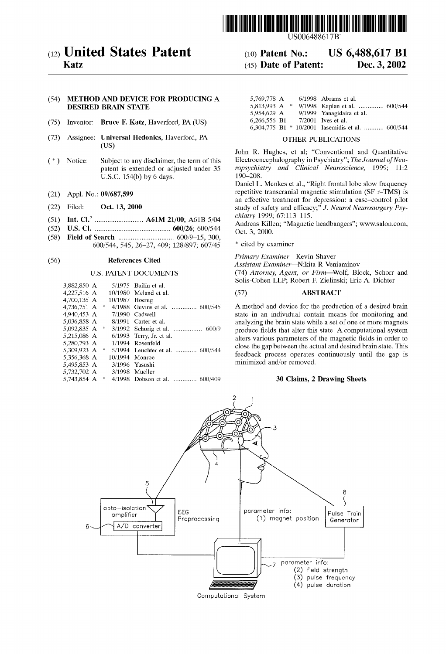

(12) **United States Patent** (10) Patent No.: US 6,488,617 B1 Katz (45) Date of Patent: Dec. 3, 2002

## (54) METHOD AND DEVICE FOR PRODUCING A DESIRED BRAIN STATE

- (75) Inventor: Bruce F. Katz, Haverford, PA (US)
- (73) Assignee: Universal Hedonics, Haverford, PA OTHER PUBLICATIONS (US)
- U.S.C. 154(b) by 6 days.
- 
- 
- 
- (52) U.S. Cl. .......................................... 600/26; 600/544 Oct. 3, 2000.
- (58) Field of Search ............................... 600/9-15, 300, 600/544, 545, 26-27, 409; 128/897; 607/45 \* cited by examiner

## (56) **References Cited References Cited** *References* Cited *References* Cited *R References* Cited *R R Assistant Examiner*—Nikita R Veniaminov

| 3,882,850 A     |                  | $5/1975$ Bailin et al.          |      |                                          |
|-----------------|------------------|---------------------------------|------|------------------------------------------|
| 4,227,516 A     |                  | $10/1980$ Meland et al.         | (57) | <b>ABSTRACT</b>                          |
| 4.700.135 A     | $10/1987$ Hoenig |                                 |      |                                          |
| 4,736,751 A $*$ |                  | 4/1988 Gevins et al.  600/545   |      | A method and device for the producti     |
| 4.940.453 A     |                  | 7/1990 Cadwell                  |      | state in an individual contain means     |
| 5,036,858 A     |                  | $8/1991$ Carter et al.          |      | analyzing the brain state while a set of |
| 5.092.835 A $*$ |                  | 3/1992 Schurig et al.  600/9    |      | produce fields that alter this state. A  |
| 5,215,086 A     |                  | $6/1993$ Terry, Jr. et al.      |      | alters various parameters of the magn    |
| 5.280.793 A     |                  | 1/1994 Rosenfeld                |      | close the gap between the actual and de  |
| 5,309,923 A $*$ |                  | 5/1994 Leuchter et al.  600/544 |      | feedback process operates continuou      |
| 5,356,368 A     |                  | 10/1994 Monroe                  |      |                                          |
| 5,495,853 A     |                  | 3/1996 Yasushi                  |      | minimized and/or removed.                |
| 5,732,702 A     |                  | 3/1998 Mueller                  |      |                                          |
| 5 743 854 A     |                  |                                 |      | 30 Claims. 2 Drawino                     |

# $(45)$  Date of Patent:

| 5.769.778 A  |     | 6/1998 Abrams et al.                             |  |
|--------------|-----|--------------------------------------------------|--|
| 5.813.993 A  | * ∴ | 9/1998 Kaplan et al.  600/544                    |  |
| 5.954.629 A  |     | 9/1999 Yanagidaira et al.                        |  |
| 6.266.556 B1 |     | 7/2001 Ives et al.                               |  |
|              |     | 6,304,775 B1 * 10/2001 Iasemidis et al.  600/544 |  |

John R. Hughes, et al; "Conventional and Quantitative (\*) Notice: Subject to any disclaimer, the term of this Electroencephalography in Psychiatry"; The Journal of Neu-<br>patent is extended or adjusted under 35 ropsychiatry and Clinical Neuroscience, 1999; 11:2 ropsychiatry and Clinical Neuroscience, 1999; 11:2<br>190–208.

Daniel L. Menkes et al., "Right frontal lobe slow frequency (21) Appl. No.: 09/687,599 repetitive transcranial magnetic stimulation (SF r–TMS) is<br>an effective treatment for depression: a case–control pilot (22) Filed: Oct. 13, 2000 study of safety and efficacy;" J. Neurol Neurosurgery Psychol pilot (22) Filed:  $\frac{1}{2}$  Change of safety 1999; 67:113-115.

(51) Int. Cl." ........................... A61M 2100. A61B 504 CE.A Mii. headbangers'; www.Salon.com

Primary Examiner-Kevin Shaver

U.S. PATENT DOCUMENTS (74) Attorney, Agent, or Firm-Wolf, Block, Schorr and Solis-Cohen LLP; Robert F. Zielinski; Eric A. Dichter (57)<br>ABSTRACT

A method and device for the production of a desired brain state in an individual contain means for monitoring and analyzing the brain state while a set of one or more magnets produce fields that alter this state. A computational system alters various parameters of the magnetic fields in order to close the gap between the actual and desired brain state. This feedback process operates continuously until the gap is minimized and/or removed.

#### 30 Claims, 2 Drawing Sheets



Computational System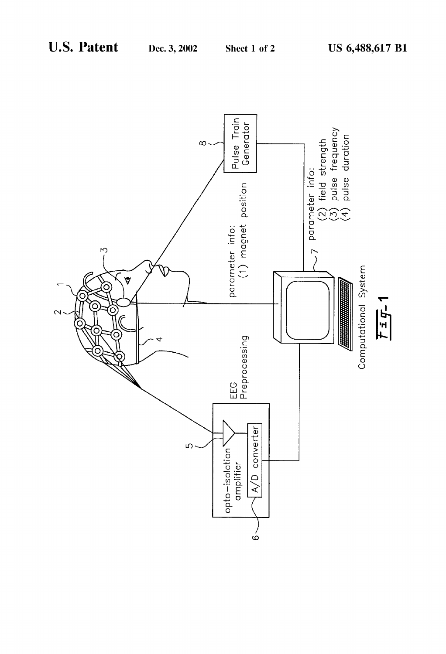Sheet 1 of 2

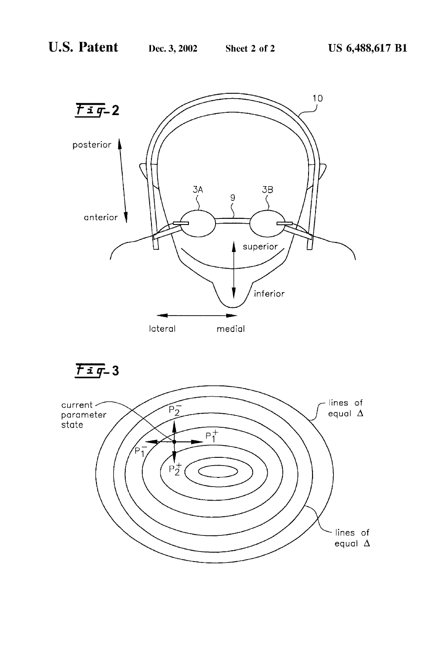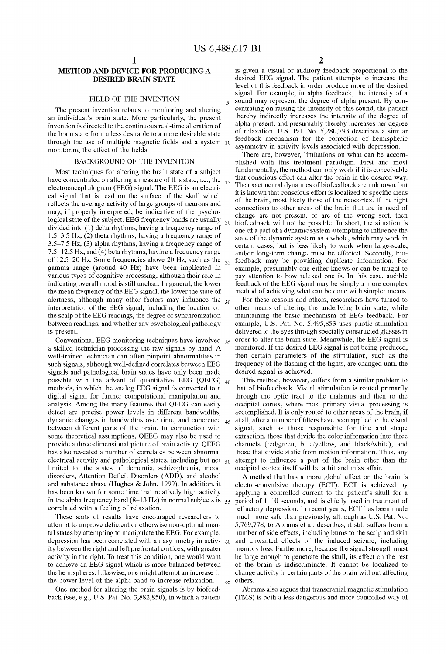25

60

## METHOD AND DEVICE FOR PRODUCING A DESIRED BRAIN STATE

#### FIELD OF THE INVENTION

The present invention relates to monitoring and altering an individual's brain state. More particularly, the present invention is directed to the continuous real-time alteration of the brain state from a less desirable to a more desirable state through the use of multiple magnetic fields and a system  $10$ monitoring the effect of the fields.

#### BACKGROUND OF THE INVENTION

Most techniques for altering the brain state of a subject have concentrated on altering a measure of this State, i.e., the electroencephalogram (EEG) signal. The EEG is an electri cal signal that is read on the surface of the skull which reflects the average activity of large groups of neurons and may, if properly interpreted, be indicative of the psychological state of the subject. EEG frequency bands are usually  $_{20}$  divided into (1) delta rhythms, having a frequency range of 1.5–3.5 Hz, (2) theta rhythms, having a frequency range of 3.5-7.5 Hz, (3) alpha rhythms, having a frequency range of 7.5-12.5 Hz, and (4) beta rhythms, having a frequency range of 12.5-20 Hz. Some frequencies above 20 Hz, such as the gamma range (around 40 Hz) have been implicated in various types of cognitive processing, although their role in indicating overall mood is Still unclear. In general, the lower the mean frequency of the EEG signal, the lower the State of alertness, although many other factors may influence the  $_{30}$ interpretation of the EEG signal, including the location on the Scalp of the EEG readings, the degree of Synchronization between readings, and whether any psychological pathology is present.

Conventional EEG monitoring techniques have involved  $_{35}$ a skilled technician processing the raw signals by hand. A well-trained technician can often pinpoint abnormalities in such signals, although well-defined correlates between EEG signals and pathological brain states have only been made possible with the advent of quantitative EEG (QEEG)  $_{40}$ methods, in which the analog EEG signal is converted to a digital signal for further computational manipulation and analysis. Among the many features that QEEG can easily detect are precise power levels in different bandwidths, between different parts of the brain. In conjunction with some theoretical assumptions, QEEG may also be used to provide a three-dimensional picture of brain activity. QEEG has also revealed a number of correlates between abnormal electrical activity and pathological states, including but not  $_{50}$ limited to, the States of dementia, Schizophrenia, mood disorders, Attention Deficit Disorders (ADD), and alcohol and substance abuse (Hughes & John, 1999). In addition, it has been known for some time that relatively high activity correlated with a feeling of relaxation.

These sorts of results have encouraged researchers to attempt to improve deficient or otherwise non-optimal men tal states by attempting to manipulate the EEG. For example, depression has been correlated with an asymmetry in activ ity between the right and left prefrontal cortices, with greater activity in the right. To treat this condition, one would want to achieve an EEG signal which is more balanced between the hemispheres. Likewise, one might attempt an increase in the power level of the alpha band to increase relaxation.

One method for altering the brain signals is by biofeed back (see, e.g., U.S. Pat. No. 3,882,850), in which a patient

is given a visual or auditory feedback proportional to the desired EEG signal. The patient attempts to increase the level of this feedback in order produce more of the desired signal. For example, in alpha feedback, the intensity of a sound may represent the degree of alpha present. By concentrating on raising the intensity of this sound, the patient thereby indirectly increases the intensity of the degree of alpha present, and presumably thereby increases her degree of relaxation. U.S. Pat. No. 5,280,793 describes a similar feedback mechanism for the correction of hemispheric asymmetry in activity levels associated with depression.

There are, however, limitations on what can be accom plished with this treatment paradigm. First and most fundamentally, the method can only work if it is conceivable that conscious effort can alter the brain in the desired way. The exact neural dynamics of biofeedback are unknown, but it is known that conscious effort is localized to specific areas of the brain, most likely those of the neocortex. If the right connections to other areas of the brain that are in need of change are not present, or are of the wrong Sort, then biofeedback will not be possible. In short, the situation is one of a part of a dynamic System attempting to influence the state of the dynamic system as a whole, which may work in certain cases, but is less likely to work when large-scale, and/or long-term change-must be effected. Secondly, biofeedback may be providing duplicate information. For example, presumably one either knows or can be taught to pay attention to how relaxed one is. In this case, audible method of achieving what can be done with simpler means.

For these reasons and others, researchers have turned to other means of altering the underlying brain State, while maintaining the basic mechanism of EEG feedback. For example, U.S. Pat. No. 5,495,853 uses photic stimulation delivered to the eyes through specially constructed glasses in order to alter the brain state. Meanwhile, the EEG signal is monitored. If the desired EEG signal is not being produced, then certain parameters of the Stimulation, Such as the frequency of the flashing of the lights, are changed until the desired signal is achieved.

dynamic changes in bandwidths over time, and coherence  $_{45}$  at all, after a number of filters have been applied to the visual This method, however, suffers from a similar problem to that of biofeedback. Visual stimulation is routed primarily through the optic tract to the thalamus and then to the occipital cortex, where most primary visual processing is accomplished. It is only routed to other areas of the brain, if signal, such as those responsible for line and shape extraction, those that divide the color information into three channels (red/green, blue/yellow, and black/white), and those that divide static from motion information. Thus, any attempt to influence a part of the brain other than the occipital cortex itself will be a hit and miss affair.

has been known for some time that relatively high activity applying a controlled current to the patient's skull for a<br>in the alpha frequency band (8–13 Hz) in normal subjects is  $55$  period of 1–10 seconds, and is chiefly 65 others. A method that has a more global effect on the brain is electro-convulsive therapy (ECT). ECT is achieved by applying a controlled current to the patient's skull for a refractory depression. In recent years, ECT has been made much more safe than previously, although as U.S. Pat. No. 5,769,778, to Abrams et al. describes, it still suffers from a number of side effects, including burns to the scalp and skin and unwanted effects of the induced seizure, including memory loss. Furthermore, because the signal strength must be large enough to penetrate the skull, its effect on the rest of the brain is indiscriminate. It cannot be localized to change activity in certain parts of the brain without affecting

> Abrams also argues that transcranial magnetic stimulation (TMS) is both a less dangerous and more controlled way of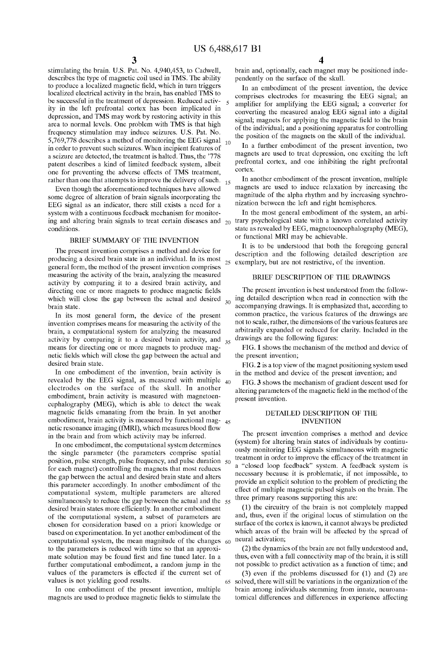60

65

stimulating the brain. U.S. Pat. No. 4,940,453, to Cadwell, describes the type of magnetic coil used in TMS. The ability to produce a localized magnetic field, which in turn triggers localized electrical activity in the brain, has enabled TMS to be Successful in the treatment of depression. Reduced activ ity in the left prefrontal corteX has been implicated in depression, and TMS may work by restoring activity in this area to normal levels. One problem with TMS is that high frequency stimulation may induce seizures. U.S. Pat. No. 5,769,778 describes a method of monitoring the EEG signal 5,769,778 describes a method of monitoring the EEG signal  $_{10}$  in order to prevent such seizures. When incipient features of a seizure are detected, the treatment is halted. Thus, the 778 patent describes a kind of limited feedback System, albeit one for preventing the adverse effects of TMS treatment, rather than one that attempts to improve the delivery of such.  $_{15}$ 

Even though the aforementioned techniques have allowed some degree of alteration of brain signals incorporating the EEG signal as an indicator, there Still exists a need for a system with a continuous feedback mechanism for monitorconditions.

#### BRIEF SUMMARY OF THE INVENTION

The present invention comprises a method and device for producing a desired brain state in an individual. In its most general form, the method of the present invention comprises measuring the activity of the brain, analyzing the measured activity by comparing it to a desired brain activity, and directing one or more magnets to produce magnetic fields which will close the gap between the actual and desired brain State.

In its most general form, the device of the present invention comprises means for measuring the activity of the brain, a computational System for analyzing the measured activity by comparing it to a desired brain activity, and means for directing one or more magnets to produce mag netic fields which will close the gap between the actual and desired brain state.

In one embodiment of the invention, brain activity is revealed by the EEG signal, as measured with multiple  $_{40}$ electrodes on the Surface of the skull. In another embodiment, brain activity is measured with magnetoen cephalography (MEG), which is able to detect the weak magnetic fields emanating from the brain. In yet another netic resonance imaging (fMRI), which measures blood flow in the brain and from which activity may be inferred. embodiment, brain activity is measured by functional mag- 45

In one embodiment, the computational system determines<br>the single parameter (the parameters comprise spatial the single parameter (the parameters comprise spatial position, pulse strength, pulse frequency, and pulse duration  $50$ for each magnet) controlling the magnets that most reduces the gap between the actual and desired brain State and alters this parameter accordingly. In another embodiment of the computational System, multiple parameters are altered Simultaneously to reduce the gap between the actual and the 55 desired brain states more efficiently. In another embodiment of the computational System, a Subset of parameters are chosen for consideration based on a priori knowledge or based on experimentation. In yet another embodiment of the computational System, the mean magnitude of the changes to the parameters is reduced with time So that an approxi mate Solution may be found first and fine tuned later. In a further computational embodiment, a random jump in the values of the parameters is effected if the current set of values is not yielding good results.

In one embodiment of the present invention, multiple magnets are used to produce magnetic fields to Stimulate the brain and, optionally, each magnet may be positioned inde pendently on the Surface of the skull.

In an embodiment of the present invention, the device comprises electrodes for measuring the EEG signal; an amplifier for amplifying the EEG signal; a converter for converting the measured analog EEG signal into a digital signal; magnets for applying the magnetic field to the brain of the individual; and a positioning apparatus for controlling the position of the magnets on the skull of the individual.

In a further embodiment of the present invention, two magnets are used to treat depression, one exciting the left prefrontal cortex, and one inhibiting the right prefrontal cortex.

In another embodiment of the present invention, multiple magnets are used to induce relaxation by increasing the magnitude of the alpha rhythm and by increasing synchronization between the left and right hemispheres.

ing and altering brain signals to treat certain diseases and  $_{20}$  trary psychological state with a known correlated activity In the most general embodiment of the System, an arbi state as revealed by EEG, magnetoencephalography (MEG), or functional MRI may be achievable.

> 25 It is to be understood that both the foregoing general description and the following detailed description are exemplary, but are not restrictive, of the invention.

#### BRIEF DESCRIPTION OF THE DRAWINGS

The present invention is best understood from the follow ing detailed description when read in connection with the accompanying drawings. It is emphasized that, according to common practice, the various features of the drawings are not to Scale, rather, the dimensions of the various features are arbitrarily expanded or reduced for clarity. Included in the drawings are the following figures:

FIG. 1 shows the mechanism of the method and device of the present invention;

FIG. 2 is a top view of the magnet positioning system used in the method and device of the present invention; and

FIG.3 shows the mechanism of gradient descent used for altering parameters of the magnetic field in the method of the present invention.

## DETAILED DESCRIPTION OF THE INVENTION

The present invention comprises a method and device (System) for altering brain states of individuals by continu ously monitoring EEG signals simultaneous with magnetic treatment in order to improve the efficacy of the treatment in a "closed loop feedback" system. A feedback system is necessary because it is problematic, if not impossible, to provide an explicit Solution to the problem of predicting the effect of multiple magnetic pulsed signals on the brain. The three primary reasons supporting this are:

(1) the circuitry of the brain is not completely mapped and, thus, even if the original locus of stimulation on the surface of the cortex is known, it cannot always be predicted which areas of the brain will be affected by the spread of neural activation;

(2) the dynamics of the brain are not fully understood and, thus, even with a full connectivity map of the brain, it is still not possible to predict activation as a function of time; and

(3) even if the problems discussed for (1) and (2) are solved, there will still be variations in the organization of the brain among individuals stemming from innate, neuroanatomical differences and differences in experience affecting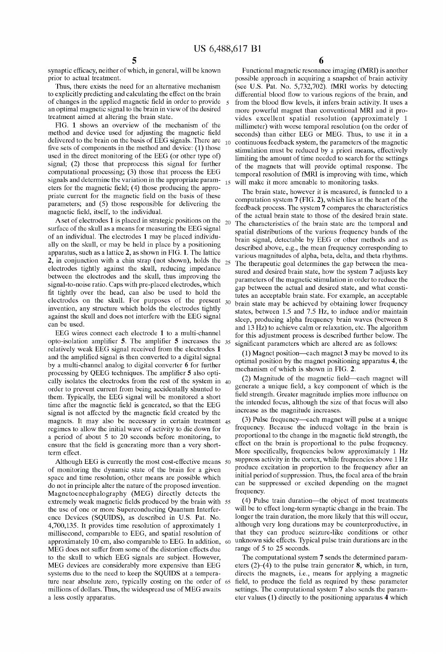$\overline{5}$ 

25

Synaptic efficacy, neither of which, in general, will be known prior to actual treatment.

Thus, there exists the need for an alternative mechanism to explicitly predicting and calculating the effect on the brain of changes in the applied magnetic field in order to provide an optimal magnetic Signal to the brain in View of the desired treatment aimed at altering the brain State.

FIG. 1 shows an overview of the mechanism of the method and device used for adjusting the magnetic field delivered to the brain on the basis of EEG signals. There are five sets of components in the method and device: (1) those used in the direct monitoring of the EEG (or other type of) signal; (2) those that preprocess this signal for further computational processing; (3) those that process the EEG signals and determine the variation in the appropriate parameters for the magnetic field; (4) those producing the appro priate current for the magnetic field on the basis of these parameters; and (5) those responsible for delivering the magnetic field, itself, to the individual. 15

A set of electrodes 1 is placed in strategic positions on the  $_{20}$ surface of the skull as a means for measuring the EEG signal of an individual. The electrodes 1 may be placed individu ally on the skull, or may be held in place by a positioning apparatus, Such as a lattice 2, as shown in FIG.1. The lattice 2, in conjunction with a chin Strap (not shown), holds the electrodes tightly against the Skull, reducing impedance between the electrodes and the skull, thus improving the signal-to-noise ratio. Caps with pre-placed electrodes, which fit tightly over the head, can also be used to hold the electrodes on the skull. For purposes of the present  $_{30}$  invention, any structure which holds the electrodes tightly against the skull and does not interfere with the EEG signal can be used.

EEG wires connect each electrode 1 to a multi-channel opto-isolation amplifier 5. The amplifier 5 increases the 35 relatively weak EEG signal received from the electrodes 1 and the amplified signal is then converted to a digital signal by a multi-channel analog to digital converter 6 for further processing by QEEG techniques. The amplifier 5 also opti cally isolates the electrodes from the rest of the System in 40 order to prevent current from being accidentally shunted to them. Typically, the EEG signal will be monitored a short time after the magnetic field is generated, so that the EEG signal is not affected by the magnetic field created by the magnets. It may also be necessary in certain treatment 45 regimes to allow the initial wave of activity to die down for a period of about 5 to 20 seconds before monitoring, to ensure that the field is generating more than a very short term effect.

Although EEG is currently the most cost-effective means 50 of monitoring the dynamic State of the brain for a given space and time resolution, other means are possible which do not in principle alter the nature of the proposed invention. Magnetoencephalography (MEG) directly detects the extremely weak magnetic fields produced by the brain with 55 the use of one or more Superconducting Quantum Interfer ence Devices (SQUIDS), as described in U.S. Pat. No. 4,700,135. It provides time resolution of approximately 1 millisecond, comparable to EEG, and Spatial resolution of approximately 10 cm, also comparable to EEG. In addition, 60 MEG does not Suffer from Some of the distortion effects due to the skull to which EEG signals are subject. However, MEG devices are considerably more expensive than EEG systems due to the need to keep the SQUIDS at a tempera ture near absolute Zero, typically costing on the order of 65 millions of dollars. Thus, the widespread use of MEG awaits a less costly apparatus.

6

Functional magnetic resonance imaging (fMRI) is another possible approach in acquiring a Snapshot of brain activity (see U.S. Pat. No. 5,732,702). fMRI works by detecting differential blood flow to various regions of the brain, and from the blood flow levels, it infers brain activity. It uses a more powerful magnet than conventional MRI and it provides excellent spatial resolution (approximately 1 millimeter) with worse temporal resolution (on the order of seconds) than either EEG or MEG. Thus, to use it in a 10 continuous feedback system, the parameters of the magnetic stimulation must be reduced by a priori means, effectively limiting the amount of time needed to search for the settings of the magnets that will provide optimal response. The temporal resolution of fMRI is improving with time, which will make it more amenable to monitoring tasks.

The brain state, however it is measured, is funneled to a computation system 7 (FIG. 2), which lies at the heart of the feedback process. The System 7 compares the characteristics of the actual brain state to those of the desired brain state. The characteristics of the brain state are the temporal and spatial distributions of the various frequency bands of the brain signal, detectable by EEG or other methods and as described above, e.g., the mean frequency corresponding to various magnitudes of alpha, beta, delta, and theta rhythms. The therapeutic goal determines the gap between the mea sured and desired brain state, how the system 7 adjusts key parameters of the magnetic Stimulation in order to reduce the gap between the actual and desired State, and what consti tutes an acceptable brain state. For example, an acceptable brain State may be achieved by obtaining lower frequency states, between 1.5 and 7.5 Hz, to induce and/or maintain sleep, producing alpha frequency brain waves (between 8 and 13 Hz) to achieve calm or relaxation, etc. The algorithm for this adjustment process is described further below. The significant parameters which are altered are as follows:

 $(1)$  Magnet position—each magnet 3 may be moved to its optimal position by the magnet positioning apparatus 4, the mechanism of which is shown in FIG. 2.

(2) Magnitude of the magnetic field-each magnet will generate a unique field, a key component of which is the field Strength. Greater magnitude implies more influence on the intended focus, although the size of that focus will also increase as the magnitude increases.

(3) Pulse frequency—each magnet will pulse at a unique frequency. Because the induced Voltage in the brain is proportional to the change in the magnetic field strength, the effect on the brain is proportional to the pulse frequency. More specifically, frequencies below approximately 1 Hz suppress activity in the cortex, while frequencies above 1 Hz produce excitation in proportion to the frequency after an initial period of Suppression. Thus, the focal area of the brain can be suppressed or excited depending on the magnet frequency.

(4) Pulse train duration—the object of most treatments will be to effect long-term synaptic change in the brain. The longer the train duration, the more likely that this will occur, although very long durations may be counterproductive, in that they can produce Seizure-like conditions or other unknown side effects. Typical pulse train durations are in the range of 5 to 25 seconds.

The computational system 7 sends the determined parameters  $(2)$ – $(4)$  to the pulse train generator 8, which, in turn, directs the magnets, i.e., means for applying a magnetic<br>field, to produce the field as required by these parameter<br>settings. The computational system 7 also sends the parameter values (1) directly to the positioning apparatus 4 which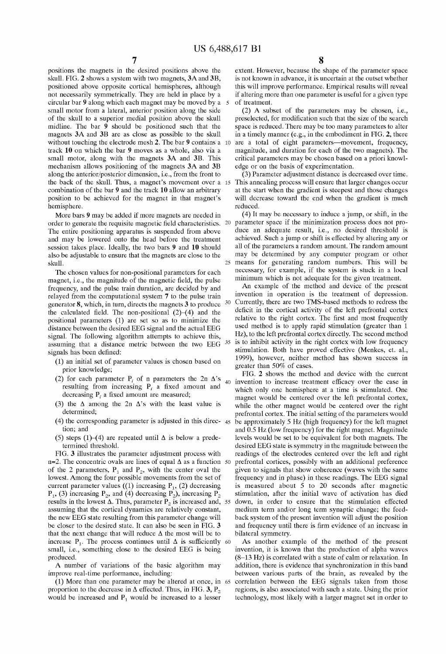positions the magnets in the desired positions above the skull. FIG. 2 shows a system with two magnets, 3A and 3B, positioned above opposite cortical hemispheres, although not necessarily symmetrically. They are held in place by a circular bar 9 along which each magnet may be moved by a small motor from a lateral, anterior position along the side of the skull to a superior medial position above the skull midline. The bar 9 should be positioned such that the magnets 3A and 3B are as close as possible to the skull without touching the electrode mesh  $2$ . The bar  $9$  contains a 10 track 10 on which the bar 9 moves as a whole, also via a small motor, along with the magnets 3A and 3B. This mechanism allows positioning of the magnets 3A and 3B along the anterior/posterior dimension, i.e., from the front to the back of the skull. Thus, a magnet's movement over a 15 combination of the bar 9 and the track 10 allow an arbitrary position to be achieved for the magnet in that magnet's hemisphere.

More bars 9 may be added if more magnets are needed in order to generate the requisite magnetic field characteristics. 20 The entire positioning apparatus is suspended from above and may be lowered onto the head before the treatment session takes place. Ideally, the two bars 9 and 10 should also be adjustable to ensure that the magnets are close to the skull.

The chosen values for non-positional parameters for each magnet, i.e., the magnitude of the magnetic field, the pulse frequency, and the pulse train duration, are decided by and relayed from the computational system 7 to the pulse train 30 generator 8, which, in turn, directs the magnets 3 to produce the calculated field. The non-positional  $(2)$ – $(4)$  and the positional parameters (1) are set so as to minimize the distance between the desired EEG signal and the actual EEG signal. The following algorithm attempts to achieve this, assuming that a distance metric between the two EEG signals has been defined:

- (1) an initial set of parameter values is chosen based on prior knowledge;
- (2) for each parameter  $P_i$  of n parameters the 2n  $\Delta$ 's resulting from increasing  $P_i$ , a fixed amount and decreasing  $P_i$ , a fixed amount are measured;
- (3) the  $\Delta$  among the  $2n \Delta$ 's with the least value is determined:
- tion; and
- (5) steps (1)–(4) are repeated until  $\Delta$  is below a predetermined threshold.

FIG. 3 illustrates the parameter adjustment process with n=2. The concentric ovals are lines of equal  $\Delta$  as a function 50 of the 2 parameters,  $P_1$  and  $P_2$ , with the center oval the lowest. Among the four possible movements from the set of current parameter values ((1) increasing  $P_1$ , (2) decreasing  $P_1$ , (3) increasing  $P_2$ , and (4) decreasing  $P_2$ ), increasing  $P_2$ results in the lowest  $\Delta$ . Thus, parameter  $P_2$  is increased and, assuming that the cortical dynamics are relatively constant, the new EEG state resulting from this parameter change will be closer to the desired state. It can also be seen in FIG. 3 that the next change that will reduce  $\Delta$  the most will be to increase  $P_1$ . The process continues until  $\Delta$  is sufficiently 60 small, i.e., something close to the desired EEG is being produced.

A number of variations of the basic algorithm may improve real-time performance, including:

(1) More than one parameter may be altered at once, in 65 proportion to the decrease in  $\Delta$  effected. Thus, in FIG. 3, P<sub>2</sub> would be increased and  $P_1$  would be increased to a lesser

8

extent. However, because the shape of the parameter space is not known in advance, it is uncertain at the outset whether this will improve performance. Empirical results will reveal if altering more than one parameter is useful for a given type of treatment.

(2) A subset of the parameters may be chosen, i.e., preselected, for modification such that the size of the search space is reduced. There may be too many parameters to alter in a timely manner (e.g., in the embodiment in FIG. 2, there are a total of eight parameters—movement, frequency, magnitude, and duration for each of the two magnets). The critical parameters may be chosen based on a priori knowledge or on the basis of experimentation.

(3) Parameter adjustment distance is decreased over time. This annealing process will ensure that larger changes occur at the start when the gradient is steepest and those changes will decrease toward the end when the gradient is much reduced.

(4) It may be necessary to induce a jump, or shift, in the parameter space if the minimization process does not produce an adequate result, i.e., no desired threshold is achieved. Such a jump or shift is effected by altering any or all of the parameters a random amount. The random amount may be determined by any computer program or other means for generating random numbers. This will be necessary, for example, if the system is stuck in a local minimum which is not adequate for the given treatment.

An example of the method and device of the present invention in operation is the treatment of depression. Currently, there are two TMS-based methods to redress the deficit in the cortical activity of the left prefrontal cortex relative to the right cortex. The first and most frequently used method is to apply rapid stimulation (greater than 1 Hz), to the left prefrontal cortex directly. The second method 35 is to inhibit activity in the right cortex with low frequency stimulation. Both have proved effective (Menkes, et. al., 1999), however, neither method has shown success in greater than 50% of cases.

FIG. 2 shows the method and device with the current invention to increase treatment efficacy over the case in which only one hemisphere at a time is stimulated. One magnet would be centered over the left prefrontal cortex, while the other magnet would be centered over the right prefrontal cortex. The initial setting of the parameters would (4) the corresponding parameter is adjusted in this direc-  $45$  be approximately 5 Hz (high frequency) for the left magnet and 0.5 Hz (low frequency) for the right magnet. Magnitude levels would be set to be equivalent for both magnets. The desired EEG state is symmetry in the magnitude between the readings of the electrodes centered over the left and right prefrontal cortices, possibly with an additional preference given to signals that show coherence (waves with the same frequency and in phase) in these readings. The EEG signal is measured about 5 to 20 seconds after magnetic stimulation, after the initial wave of activation has died down, in order to ensure that the stimulation effected medium term and/or long term synaptic change; the feedback system of the present invention will adjust the position and frequency until there is firm evidence of an increase in bilateral symmetry.

> As another example of the method of the present invention, it is known that the production of alpha waves  $(8-13 \text{ Hz})$  is correlated with a state of calm or relaxation. In addition, there is evidence that synchronization in this band between various parts of the brain, as revealed by the correlation between the EEG signals taken from those regions, is also associated with such a state. Using the prior technology, most likely with a larger magnet set in order to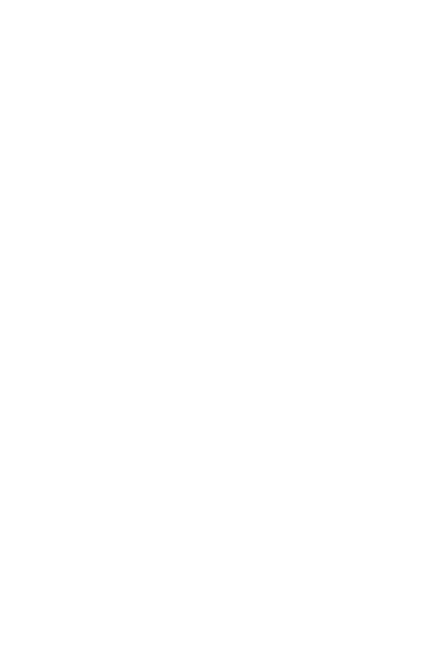achieve large-scale synchronization, it should be possible to help invoke the alpha state regardless of the initial state of the brain. Furthermore, the method can be used to "lock-in" this state, prolonging the relaxation session. This is necessary because a sufficiently strong distracter, whether internal to the brain or from an external source, can cause the EEG signal to become desynchronized and to move to a higher frequency, interrupting relaxation and causing the mind to move to a state of alert readiness. The method of the present invention will prevent this interruption because, as soon as 10 the EEG signal begins to become desynchronized, the device will immediately reapply the magnetic field originally found to induce the relaxed state (which will vary from patient to patient), or, if this fails, can reapply the feedback methodology to return to the desired state, returning the 15 subject to the relaxed state.

Other variations of this method are also possible, such as producing and sustaining lower frequency states  $(1.5-7.5$ Hz) as a means of inducing and maintaining sleep. In principle, an arbitrary EEG state can be achieved, as long as 20 there exists a configuration and parameter setting of the current magnet set that can produce such an EEG signal.

Although illustrated and described above with reference to certain specific embodiments, the present invention is nevertheless not intended to be limited to the details shown. 25 Rather, the present invention is directed to a continuous feedback method and device for altering brain states, and various modifications may be made in the details within the scope and range of equivalents of the claims and without departing from the spirit of the invention. 30

What is claimed:

1. A method for producing a desired brain state in an individual by measuring and controlling a brain signal comprising;

- measuring a brain signal indicating a brain state of an <sup>35</sup> individual:
- comparing characteristics of the measured brain state to characteristics of a desired brain state to determine the difference between the measured brain state and the  $40$ desired brain state;
- selecting a magnetic field having at least one parameter selected from the group consisting of magnet position, field magnitude, pulse frequency, and pulse train duration to alter the brain state, wherein the at least one 45 parameter is selected to most reduce the gap between the measured and desired brain states;
- applying the selected magnetic field to the brain of the individual;
- measuring a brain signal indicating the altered brain state,  $50$ the altered brain state corresponding to the application of the magnetic field;
- comparing the characteristics of the altered brain state to characteristics of the desired brain state to determine the difference between the altered brain state and the 55 desired brain state; and
- repeating the selecting, applying, and measuring a brain signal indicating the altered brain state steps until an acceptable brain state is achieved.

2. The method of claim 1 wherein the steps are under 60 computer control and the steps are performed continuously.

3. The method of claim 1 wherein the brain signal is measured by a technique selected from the group consisting of an electroencephalography, magnetoencephalography, and functional magnetic resonance imaging.

65

4. The method of claim 1 wherein the brain signal is an electroencephalogram signal measured by electrodes posi10

tioned on the head of the individual and the magnetic field is generated by magnets positioned on the head of the individual.

- 5. The method of claim 4 wherein the electroencephalogram signal is amplified and converted into a digital signal.
- 6. The method of claim 5 wherein at least one parameter is varied to alter the brain state.

7. The method of claim 6 wherein a gradient descent algorithm varies the parameters by:

- altering a preselected subset of the parameters selected of the group consisting of magnet position, field magnitude, pulse frequency, and pulse train duration;
- measuring distance metrices between a desired electroencephalogram signal and each electroencephalogram signal resulting from the alteration of each parameter of the subset of parameters;
- choosing the parameter and the parameter alteration having the distance metric with the least value;
- adjusting the chosen parameter by the chosen parameter alteration;
- measuring a resulting electroencephalogram signal, the resulting electroencephalogram signal corresponding to the chosen parameter alteration, and a resulting distance metric between the desired electroencephalogram signal and the resulting electroencephalogram signal; and
- repeating the adjusting and measuring a resulting electroencephalogram signal steps until a desired threshold is achieved.

8. The method of claim 6 wherein a gradient descent algorithm varies the parameters by:

- altering a preselected subset of the parameters by alteration distances, the parameters being selected from the group consisting of magnet position, field magnitude, pulse frequency, and pulse train duration, wherein more than one parameter is altered at a time,
- measuring distance metrices between a desired electroencephalogram signal and each electroencephalogram signal resulting from the alteration of each parameter of the subset of parameters;
- realtering the preselected subset of parameters, the parameter realteration distances being decreased from the alteration step, more Man one parameter being realtered at a time; and
- measuring a resulting electroencephalogram signal, the resulting electroencephalogram signal corresponding to the chosen parameter realteration, and a resulting distance metric between the desired electroencephalogram signal and the resulting electroencephalogram signal,
- wherein if a desired threshold is not achieved, each parameter of the subset of parameters is realtered a random amount to shift the parameter space and the altering, realteing, and measuring steps are repeated until a desired threshold is achieved.

9. The method of claim 5 wherein at least one parameter is increased and decreased by a fixed amount and the resulting brain state is measured.

10. The method of claim 9 wherein a gradient descent algorithm varies the parameters by:

- measuring distance metrices between a desired electroencephalogram signal and each electroencephalogram signal resulting from the increase and decrease of each parameter;
- choosing the parameter and the parameter increase or decrease having the distance metric with the least value: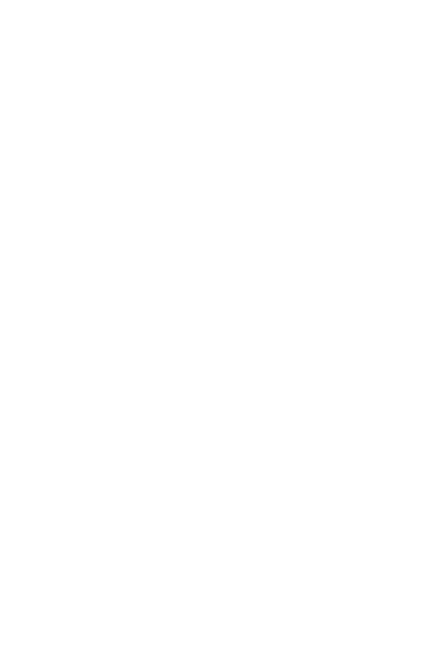65

adjusting the chosen parameter by the chosen parameter increase or decrease;

- measuring a resulting electroencephalogram signal, the resulting electroencephalogram signal corresponding to the chosen parameter increase or decrease, and a 5 resulting distance metric between the desired electroencephalogram signal and the resulting electroencephalogram signal; and
- repeating the adjusting and measuring a resulting electroencephalogram steps until a desired threshold is  $_{10}$ achieved.

11. The method of claim 9 wherein a gradient descent algorithm varies the parameters by:

- measuring distance metrices between a desired electroencephalogram signal and each electroencephalogram  $15\,$ signal resulting from the increase and decrease of each parameter,
- choosing for each parameter the parameter increase or decrease having the distance metric with the least value:
- adjusting more than one parameter by the chosen parameter increase or decrease having the distance metric with the least value, each parameter being increased or decreased an amount inversely proportional to the measured distance metric for each increase or decrease; 25
- measuring a resulting electroencephalogram signal, the resulting electroencephalogram signal corresponding to the chosen parameter increase or decrease, and a resulting distance metric between the desired electroencephalogram signal and the resulting electroencepha-30 logram signal; and
- repeating the adjusting and measuring a resulting electroencephalogram signal steps until a desired threshold is achieved.

12. The method of claim 9 wherein a gradient descent  $35$ algorithm varies the parameters by:

- measuring distance metrices between a desired electroencephalogram signal and each electroencephalogram signal resulting from the increase and decrease of each  $40$ parameter;
- choosing the parameter and the parameter increase or decrease having the distance metric with the least value:
- adjusting the chosen parameter by the chosen parameter  $_{45}$ increase or decrease:
- measuring a resulting electroencephalogram signal, the resulting electroencephalogram signal corresponding to the chosen parameter increase or decrease, and a resulting distance metric between the desired electro-50 encephalogram signal and the resulting electroencephalogram signal; and
- repeating the adjusting and measuring a resulting electroencephalogram steps until a desired threshold is achieved, wherein the adjustment of the chosen param- $_{55}$ eter decreases for each repeated adjustment step.

13. The method of claim 9 wherein a gradient descent algorithm varies the parameters by:

- measuring distance metrices between a desired electroencephalogram signal and each electroencephalogram 60 signal resulting from the increase and decrease of each parameter:
- choosing the parameter and the parameter increase or decrease having the distance metric with the least value:
- adjusting the chosen parameter by the chosen parameter increase or decrease; and

measuring the resulting electroencephalogram signal, the resulting electroencephalogram signal corresponding to the chosen parameter increase or decrease, and a resulting distance metric between the desired electroencephalogram signal and the resulting electroencephalogram signal, wherein if a desired threshold is not achieved, each parameter is altered a random amount to shift the parameter space and the increasing, decreasing, first and second measuring, choosing, and adjusting steps are repeated until a desired threshold is achieved.

14. The method of claim 1 wherein the magnets are positioned using a bar holding the magnets, the bar being movable along a track by a motor.

15. The method of claim 1 wherein the brain signal is altered to correct asymmetry in the brain signal between the left and right hemispheres associated with clinical depression

16. The method of claim 1 wherein alpha rhythms of the brain state are altered to produce a greater degree of relaxation.

17. The method of claim 1 wherein the brain signal is altered to achieve an arbitrary electroencephalogram signal corresponding to a desired brain state.

18. The method of claim 1 wherein the parameters are selected based on known brain signals corresponding to brain states.

19. The method of claim 18 wherein the brain states are selected from the group consisting of lower frequency states, alpha frequency states, frequencies suppressing activity in the cortex, and frequencies producing excitation of the cortex

20. The method of claim 1 wherein the parameters of the magnetic field are selected based on treatment regimes for known conditions.

21. A method for producing a desired brain state in an individual by continuously measuring and controlling a brain signal comprising:

- measuring an electroencephalogram signal indicating a brain state of an individual by electrodes positioned on the head of the individual;
- amplifying the measured electroencephalogram signal;

converting the amplified electroencephalogram signal into a digital signal;

- comparing the characteristics of the digital electroencephalogram signal to the characteristics of a desired electroencephalogram signal using a computational system to determine the difference between the digital electroencephalogram signal and the desired electroencephalogram signal;
- applying a magnetic field having parameters, the parameters being magnet position, field magnitude, pulse frequency, and pulse train duration, to alter the brain state of the individual by positioning magnets on the head of the individual, wherein a value for at least one parameter is selected to alter the brain state and achieve the desired electroencephalogram signal;
- measuring a resulting electroencephalogram signal, the resulting electroencephalogram signal corresponding to the selected value of the at least one parameter; and
- comparing the characteristics of the resulting electroencephalogram signal to the characteristics of the desired electroencephalogram signal to determine the need to further alter the brain state, wherein the steps are under computer control, the method is continuous, and the at least one parameter is varied according to a gradient descent algorithm.